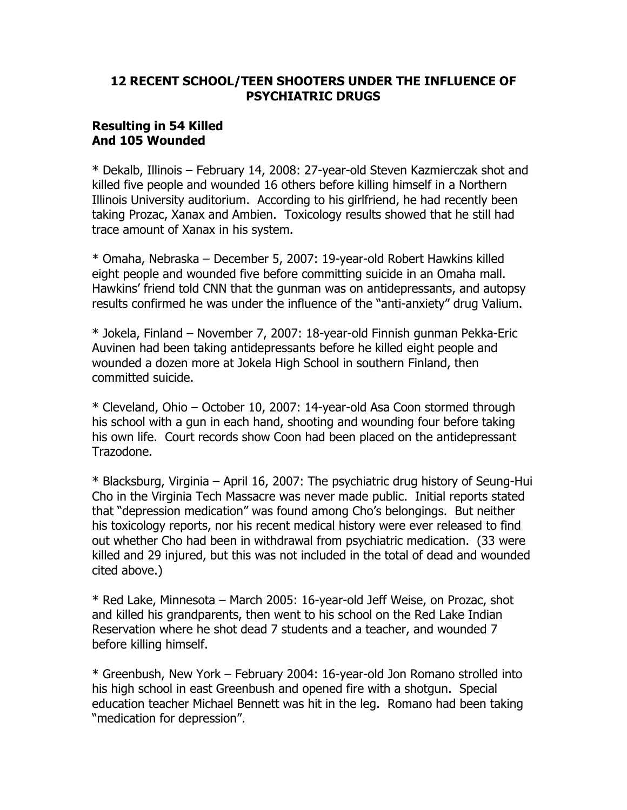## 12 RECENT SCHOOL/TEEN SHOOTERS UNDER THE INFLUENCE OF PSYCHIATRIC DRUGS

## Resulting in 54 Killed And 105 Wounded

\* Dekalb, Illinois – February 14, 2008: 27-year-old Steven Kazmierczak shot and killed five people and wounded 16 others before killing himself in a Northern Illinois University auditorium. According to his girlfriend, he had recently been taking Prozac, Xanax and Ambien. Toxicology results showed that he still had trace amount of Xanax in his system.

\* Omaha, Nebraska – December 5, 2007: 19-year-old Robert Hawkins killed eight people and wounded five before committing suicide in an Omaha mall. Hawkins' friend told CNN that the gunman was on antidepressants, and autopsy results confirmed he was under the influence of the "anti-anxiety" drug Valium.

\* Jokela, Finland – November 7, 2007: 18-year-old Finnish gunman Pekka-Eric Auvinen had been taking antidepressants before he killed eight people and wounded a dozen more at Jokela High School in southern Finland, then committed suicide.

\* Cleveland, Ohio – October 10, 2007: 14-year-old Asa Coon stormed through his school with a gun in each hand, shooting and wounding four before taking his own life. Court records show Coon had been placed on the antidepressant Trazodone.

\* Blacksburg, Virginia – April 16, 2007: The psychiatric drug history of Seung-Hui Cho in the Virginia Tech Massacre was never made public. Initial reports stated that "depression medication" was found among Cho's belongings. But neither his toxicology reports, nor his recent medical history were ever released to find out whether Cho had been in withdrawal from psychiatric medication. (33 were killed and 29 injured, but this was not included in the total of dead and wounded cited above.)

\* Red Lake, Minnesota – March 2005: 16-year-old Jeff Weise, on Prozac, shot and killed his grandparents, then went to his school on the Red Lake Indian Reservation where he shot dead 7 students and a teacher, and wounded 7 before killing himself.

\* Greenbush, New York – February 2004: 16-year-old Jon Romano strolled into his high school in east Greenbush and opened fire with a shotgun. Special education teacher Michael Bennett was hit in the leg. Romano had been taking "medication for depression".